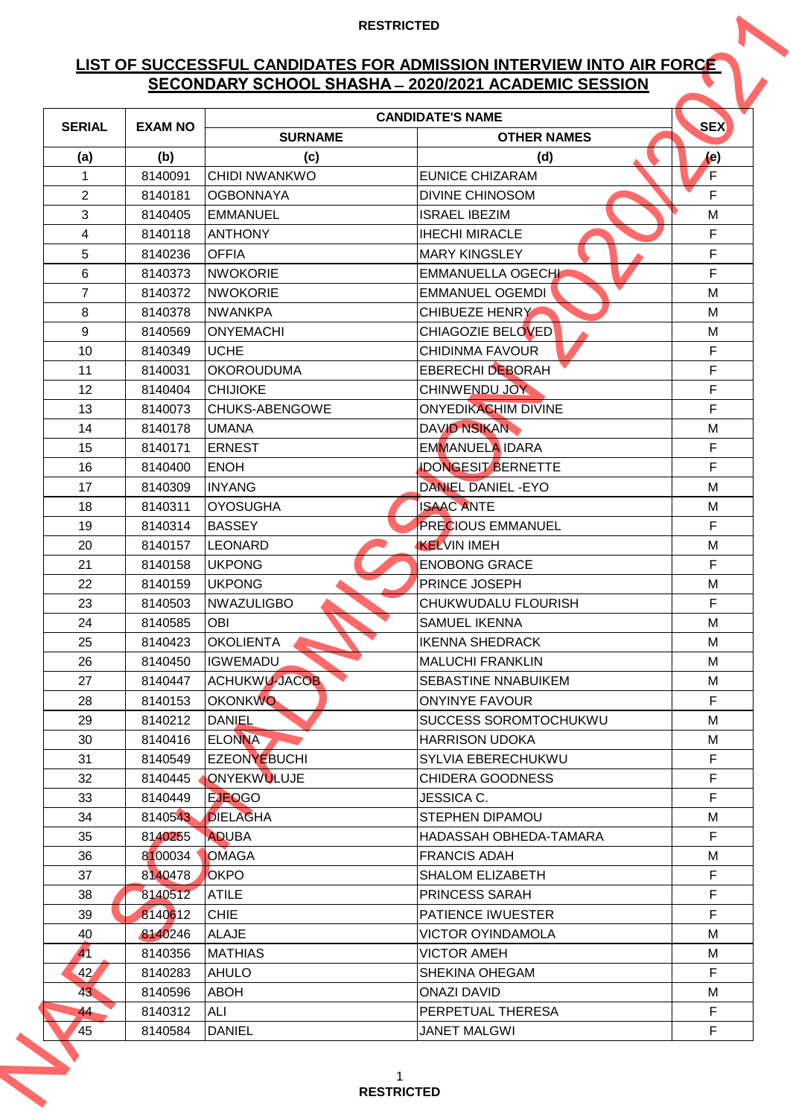## **LIST OF SUCCESSFUL CANDIDATES FOR ADMISSION INTERVIEW INTO AIR FORCE SECONDARY SCHOOL SHASHA ̶2020/2021 ACADEMIC SESSION**

|                |                |                      | SECONDARY SCHOOL SHASHA - 2020/2021 ACADEMIC SESSION |                             |
|----------------|----------------|----------------------|------------------------------------------------------|-----------------------------|
| <b>SERIAL</b>  | <b>EXAM NO</b> |                      | <b>CANDIDATE'S NAME</b>                              | <b>SEX</b>                  |
|                |                | <b>SURNAME</b>       | <b>OTHER NAMES</b>                                   |                             |
| (a)            | (b)            | (c)                  | (d)                                                  | $\left( \mathbf{e} \right)$ |
| 1              | 8140091        | <b>CHIDI NWANKWO</b> | <b>EUNICE CHIZARAM</b>                               | F                           |
| $\overline{2}$ | 8140181        | <b>OGBONNAYA</b>     | <b>DIVINE CHINOSOM</b>                               | F                           |
| 3              | 8140405        | <b>EMMANUEL</b>      | <b>ISRAEL IBEZIM</b>                                 | M                           |
| 4              | 8140118        | <b>ANTHONY</b>       | <b>IHECHI MIRACLE</b>                                | F                           |
| 5              | 8140236        | <b>OFFIA</b>         | <b>MARY KINGSLEY</b>                                 | F                           |
| 6              | 8140373        | <b>NWOKORIE</b>      | <b>EMMANUELLA OGECHI</b>                             | F                           |
| $\overline{7}$ | 8140372        | <b>NWOKORIE</b>      | <b>EMMANUEL OGEMDI</b>                               | M                           |
| 8              | 8140378        | <b>NWANKPA</b>       | <b>CHIBUEZE HENRY</b>                                | M                           |
| 9              | 8140569        | <b>ONYEMACHI</b>     | <b>CHIAGOZIE BELOVED</b>                             | M                           |
| 10             | 8140349        | <b>UCHE</b>          | <b>CHIDINMA FAVOUR</b>                               | F                           |
| 11             | 8140031        | <b>OKOROUDUMA</b>    | <b>EBERECHI DEBORAH</b>                              | F                           |
| 12             | 8140404        | <b>CHIJIOKE</b>      | CHINWENDU JOY                                        | F                           |
| 13             | 8140073        | CHUKS-ABENGOWE       | <b>ONYEDIKACHIM DIVINE</b>                           | F                           |
| 14             | 8140178        | <b>UMANA</b>         | <b>DAVID NSIKAN</b>                                  | M                           |
| 15             | 8140171        | <b>ERNEST</b>        | <b>EMMANUELA IDARA</b>                               | F                           |
| 16             | 8140400        | <b>ENOH</b>          | <b>IDONGESIT BERNETTE</b>                            | F                           |
| 17             | 8140309        | <b>INYANG</b>        | <b>DANIEL DANIEL - EYO</b>                           | M                           |
| 18             | 8140311        | <b>OYOSUGHA</b>      | <b>ISAAC ANTE</b>                                    | M                           |
| 19             | 8140314        | <b>BASSEY</b>        | <b>PRECIOUS EMMANUEL</b>                             | F                           |
| 20             | 8140157        | <b>LEONARD</b>       | <b>KELVIN IMEH</b>                                   | M                           |
| 21             | 8140158        | <b>UKPONG</b>        | <b>ENOBONG GRACE</b>                                 | F                           |
| 22             | 8140159        | <b>UKPONG</b>        | PRINCE JOSEPH                                        | M                           |
| 23             | 8140503        | <b>NWAZULIGBO</b>    | <b>CHUKWUDALU FLOURISH</b>                           | F                           |
| 24             | 8140585        | OBI                  | <b>SAMUEL IKENNA</b>                                 | M                           |
| 25             | 8140423        | <b>OKOLIENTA</b>     | <b>IKENNA SHEDRACK</b>                               | M                           |
| 26             | 8140450        | <b>IGWEMADU</b>      | MALUCHI FRANKLIN                                     | M                           |
| 27             | 8140447        | <b>ACHUKWU-JACOB</b> | <b>SEBASTINE NNABUIKEM</b>                           | M                           |
| 28             | 8140153        | <b>OKONKWO</b>       | <b>ONYINYE FAVOUR</b>                                | F                           |
| 29             | 8140212        | <b>DANIEL</b>        | SUCCESS SOROMTOCHUKWU                                | M                           |
| 30             | 8140416        | <b>ELONNA</b>        | <b>HARRISON UDOKA</b>                                | M                           |
| 31             | 8140549        | <b>EZEONYEBUCHI</b>  | SYLVIA EBERECHUKWU                                   | F                           |
| 32             | 8140445        | ONYEKWULUJE          | <b>CHIDERA GOODNESS</b>                              | F                           |
| 33             | 8140449        | <b>EJEOGO</b>        | JESSICA C.                                           | F                           |
| 34             | 8140543        | <b>DIELAGHA</b>      | <b>STEPHEN DIPAMOU</b>                               | M                           |
| 35             | 8140255        | <b>ADUBA</b>         | HADASSAH OBHEDA-TAMARA                               | F                           |
| 36             | 8100034        | <b>OMAGA</b>         | <b>FRANCIS ADAH</b>                                  | M                           |
| 37             | 8140478        | <b>OKPO</b>          | <b>SHALOM ELIZABETH</b>                              | F                           |
| 38             | 8140512        | <b>ATILE</b>         | PRINCESS SARAH                                       | F                           |
| 39             | 8140612        | <b>CHIE</b>          | <b>PATIENCE IWUESTER</b>                             | F                           |
| 40             | 8140246        | <b>ALAJE</b>         | <b>VICTOR OYINDAMOLA</b>                             | M                           |
| 41             | 8140356        | <b>MATHIAS</b>       | <b>VICTOR AMEH</b>                                   | M                           |
| 42             | 8140283        | <b>AHULO</b>         | <b>SHEKINA OHEGAM</b>                                | F                           |
| 43             | 8140596        | <b>ABOH</b>          | <b>ONAZI DAVID</b>                                   | M                           |
| 44             | 8140312        | ALI                  | PERPETUAL THERESA                                    | F                           |
| 45             | 8140584        | <b>DANIEL</b>        | <b>JANET MALGWI</b>                                  | F                           |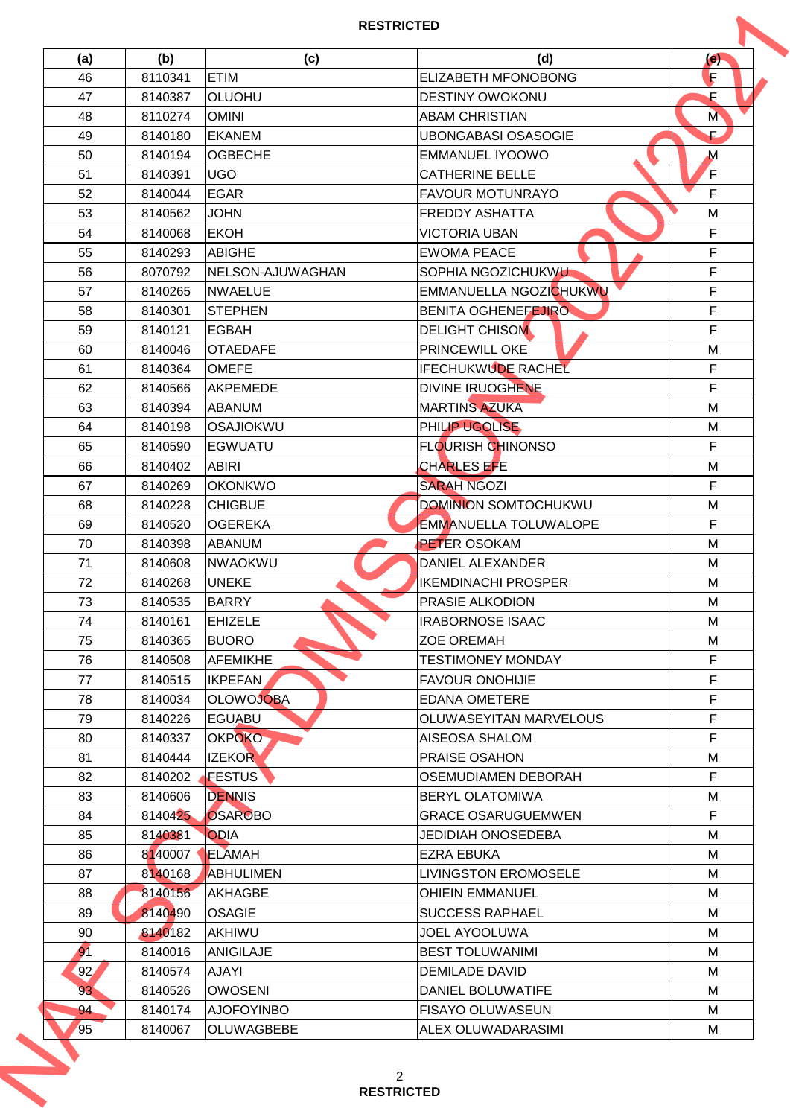## **RESTRICTED**

| (a)             | (b)                | (c)               | (d)                          | (e)         |
|-----------------|--------------------|-------------------|------------------------------|-------------|
| 46              | 8110341            | <b>ETIM</b>       | <b>ELIZABETH MFONOBONG</b>   | F           |
| 47              | 8140387            | <b>OLUOHU</b>     | <b>DESTINY OWOKONU</b>       | F           |
| 48              | 8110274            | <b>OMINI</b>      | <b>ABAM CHRISTIAN</b>        | M           |
| 49              | 8140180            | EKANEM            | <b>UBONGABASI OSASOGIE</b>   | E.          |
| 50              | 8140194            | <b>OGBECHE</b>    | EMMANUEL IYOOWO              | $\mathbf M$ |
| 51              | 8140391            | <b>UGO</b>        | <b>CATHERINE BELLE</b>       | F           |
| 52              | 8140044            | <b>EGAR</b>       | <b>FAVOUR MOTUNRAYO</b>      | F           |
| 53              | 8140562            | <b>JOHN</b>       | <b>FREDDY ASHATTA</b>        | M           |
| 54              | 8140068            | <b>EKOH</b>       | <b>VICTORIA UBAN</b>         | F           |
| 55              | 8140293            | <b>ABIGHE</b>     | <b>EWOMA PEACE</b>           | F           |
| 56              | 8070792            | NELSON-AJUWAGHAN  | SOPHIA NGOZICHUKWU           | F           |
| 57              | 8140265            | <b>NWAELUE</b>    | EMMANUELLA NGOZICHUKWU       | F           |
| 58              | 8140301            | <b>STEPHEN</b>    | <b>BENITA OGHENEFEJIRO</b>   | F           |
| 59              | 8140121            | <b>EGBAH</b>      | <b>DELIGHT CHISOM</b>        | F           |
| 60              | 8140046            | <b>OTAEDAFE</b>   | <b>PRINCEWILL OKE</b>        | M           |
| 61              | 8140364            | <b>OMEFE</b>      | <b>IFECHUKWUDE RACHEL</b>    | F           |
| 62              | 8140566            | AKPEMEDE          | <b>DIVINE IRUOGHENE</b>      | F           |
| 63              | 8140394            | <b>ABANUM</b>     | <b>MARTINS AZUKA</b>         | M           |
| 64              | 8140198            | OSAJIOKWU         | PHILIP UGOLISE               | M           |
| 65              | 8140590            | <b>EGWUATU</b>    | <b>FLOURISH CHINONSO</b>     | F           |
| 66              | 8140402            | <b>ABIRI</b>      | <b>CHARLES EFE</b>           | M           |
| 67              | 8140269            | <b>OKONKWO</b>    | <b>SARAH NGOZI</b>           | F           |
| 68              | 8140228            | <b>CHIGBUE</b>    | <b>DOMINION SOMTOCHUKWU</b>  | M           |
| 69              | 8140520            | <b>OGEREKA</b>    | <b>EMMANUELLA TOLUWALOPE</b> | F           |
| 70              | 8140398            | <b>ABANUM</b>     | <b>PETER OSOKAM</b>          | M           |
| 71              | 8140608            | NWAOKWU           | <b>DANIEL ALEXANDER</b>      | M           |
| 72              | 8140268            | <b>UNEKE</b>      | <b>IKEMDINACHI PROSPER</b>   | M           |
| 73              | 8140535            | <b>BARRY</b>      | <b>PRASIE ALKODION</b>       | M           |
| 74              | 8140161            | <b>EHIZELE</b>    | <b>IRABORNOSE ISAAC</b>      | M           |
| 75              | 8140365            | <b>BUORO</b>      | <b>ZOE OREMAH</b>            | M           |
| 76              | 8140508            | AFEMIKHE          | <b>TESTIMONEY MONDAY</b>     | F           |
| 77              | 8140515            | <b>IKPEFAN</b>    | <b>FAVOUR ONOHIJIE</b>       | F           |
| 78              | 8140034            | <b>OLOWOJOBA</b>  | <b>EDANA OMETERE</b>         | F           |
| 79              |                    | <b>EGUABU</b>     | OLUWASEYITAN MARVELOUS       | F           |
| 80              | 8140226<br>8140337 | OKPOKO-           | <b>AISEOSA SHALOM</b>        | F           |
| 81              | 8140444            | <b>IZEKOR</b>     | PRAISE OSAHON                | M           |
|                 |                    | <b>FESTUS</b>     |                              | F           |
| 82              | 8140202            |                   | OSEMUDIAMEN DEBORAH          |             |
| 83              | 8140606            | <b>DENNIS</b>     | <b>BERYL OLATOMIWA</b>       | M           |
| 84              | 8140425            | OSAROBO           | <b>GRACE OSARUGUEMWEN</b>    | F           |
| 85              | 8140381            | <b>ODIA</b>       | <b>JEDIDIAH ONOSEDEBA</b>    | м           |
| 86              | 8140007            | ELAMAH            | EZRA EBUKA                   | M           |
| 87              | 8140168            | ABHULIMEN         | <b>LIVINGSTON EROMOSELE</b>  | M           |
| 88              | 8140156            | <b>AKHAGBE</b>    | <b>OHIEIN EMMANUEL</b>       | M           |
| 89              | 8140490            | <b>OSAGIE</b>     | <b>SUCCESS RAPHAEL</b>       | M           |
| 90              | 8140182            | <b>AKHIWU</b>     | JOEL AYOOLUWA                | M           |
| 91              | 8140016            | <b>ANIGILAJE</b>  | BEST TOLUWANIMI              | M           |
| 92 <sub>2</sub> | 8140574            | <b>AJAYI</b>      | <b>DEMILADE DAVID</b>        | M           |
| 93 <sup>′</sup> | 8140526            | <b>OWOSENI</b>    | DANIEL BOLUWATIFE            | м           |
| 94              | 8140174            | <b>AJOFOYINBO</b> | <b>FISAYO OLUWASEUN</b>      | м           |
| 95              | 8140067            | <b>OLUWAGBEBE</b> | ALEX OLUWADARASIMI           | M           |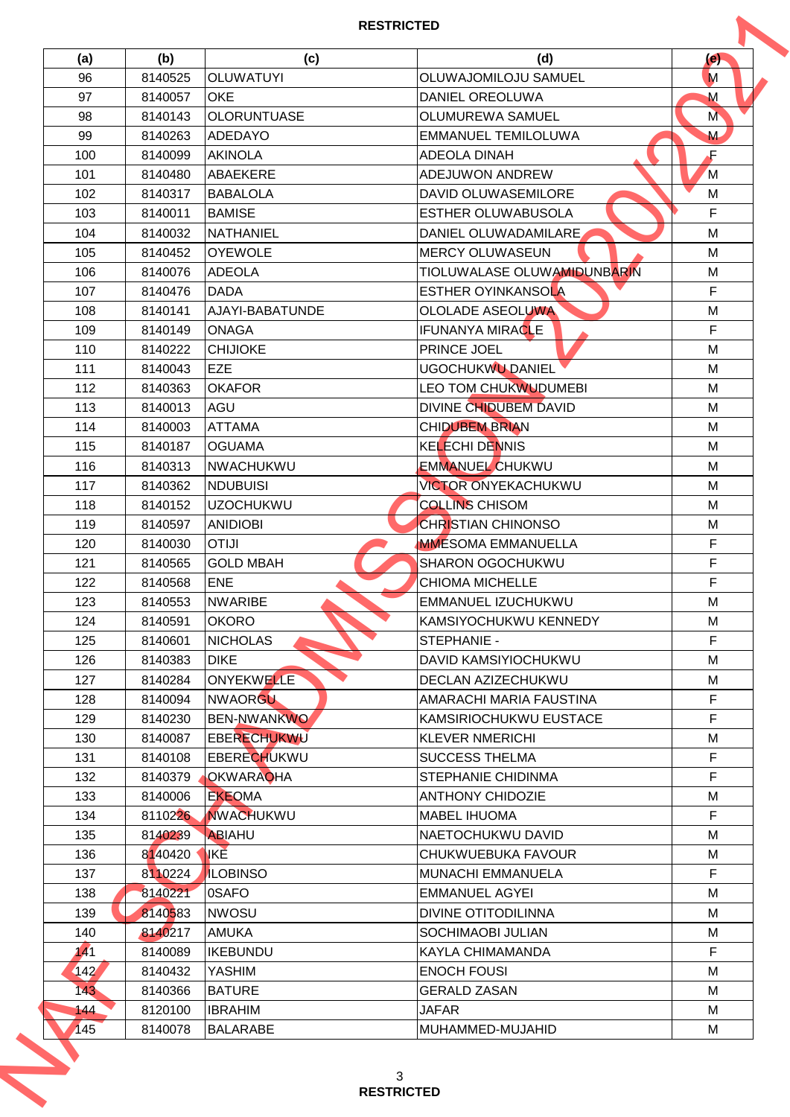| (a)  | (b)     | (c)                | (d)                         | (e)          |
|------|---------|--------------------|-----------------------------|--------------|
| 96   | 8140525 | <b>OLUWATUYI</b>   | OLUWAJOMILOJU SAMUEL        | M            |
| 97   | 8140057 | <b>OKE</b>         | DANIEL OREOLUWA             | $\mathsf{M}$ |
| 98   | 8140143 | <b>OLORUNTUASE</b> | OLUMUREWA SAMUEL            | M            |
| 99   | 8140263 | ADEDAYO            | <b>EMMANUEL TEMILOLUWA</b>  | M            |
| 100  | 8140099 | <b>AKINOLA</b>     | ADEOLA DINAH                | Æ            |
| 101  | 8140480 | ABAEKERE           | <b>ADEJUWON ANDREW</b>      | M            |
| 102  | 8140317 | <b>BABALOLA</b>    | DAVID OLUWASEMILORE         | M            |
| 103  | 8140011 | <b>BAMISE</b>      | ESTHER OLUWABUSOLA          | F            |
| 104  | 8140032 | <b>NATHANIEL</b>   | DANIEL OLUWADAMILARE        | M            |
| 105  | 8140452 | <b>OYEWOLE</b>     | <b>MERCY OLUWASEUN</b>      | M            |
| 106  | 8140076 | <b>ADEOLA</b>      | TIOLUWALASE OLUWAMIDUNBARIN | M            |
| 107  | 8140476 | <b>DADA</b>        | <b>ESTHER OYINKANSOLA</b>   | F            |
| 108  | 8140141 | AJAYI-BABATUNDE    | <b>OLOLADE ASEOLUWA</b>     | M            |
| 109  | 8140149 | <b>ONAGA</b>       | <b>IFUNANYA MIRACLE</b>     | F            |
| 110  | 8140222 | <b>CHIJIOKE</b>    | <b>PRINCE JOEL</b>          | M            |
| 111  | 8140043 | <b>EZE</b>         | <b>UGOCHUKWU DANIEL</b>     | M            |
| 112  | 8140363 | <b>OKAFOR</b>      | LEO TOM CHUKWUDUMEBI        | M            |
| 113  | 8140013 | AGU                | DIVINE CHIDUBEM DAVID       | M            |
| 114  | 8140003 | <b>ATTAMA</b>      | <b>CHIDUBEM BRIAN</b>       | M            |
| 115  | 8140187 | <b>OGUAMA</b>      | <b>KELECHI DENNIS</b>       | M            |
| 116  | 8140313 | <b>NWACHUKWU</b>   | <b>EMMANUEL CHUKWU</b>      | M            |
| 117  | 8140362 | <b>NDUBUISI</b>    | <b>VICTOR ONYEKACHUKWU</b>  | M            |
| 118  | 8140152 | <b>UZOCHUKWU</b>   | <b>COLLINS CHISOM</b>       | M            |
| 119  | 8140597 | <b>ANIDIOBI</b>    | <b>CHRISTIAN CHINONSO</b>   | M            |
| 120  | 8140030 | <b>OTIJI</b>       | <b>MMESOMA EMMANUELLA</b>   | F            |
| 121  | 8140565 | <b>GOLD MBAH</b>   | SHARON OGOCHUKWU            | F            |
| 122  | 8140568 | <b>ENE</b>         | <b>CHIOMA MICHELLE</b>      | F            |
| 123  | 8140553 | <b>NWARIBE</b>     | <b>EMMANUEL IZUCHUKWU</b>   | M            |
| 124  | 8140591 | <b>OKORO</b>       | KAMSIYOCHUKWU KENNEDY       | M            |
| 125  | 8140601 | <b>NICHOLAS</b>    | <b>STEPHANIE -</b>          | F            |
| 126  | 8140383 | <b>DIKE</b>        | DAVID KAMSIYIOCHUKWU        | M            |
| 127  | 8140284 | ONYEKWELLE         | DECLAN AZIZECHUKWU          | M            |
| 128  | 8140094 | NWAORGU            | AMARACHI MARIA FAUSTINA     | F            |
| 129  | 8140230 | <b>BEN-NWANKWO</b> | KAMSIRIOCHUKWU EUSTACE      | F            |
| 130  | 8140087 | <b>EBERECHUKWU</b> | <b>KLEVER NMERICHI</b>      | M            |
| 131  | 8140108 | <b>EBERECHUKWU</b> | <b>SUCCESS THELMA</b>       | F            |
| 132  | 8140379 | <b>OKWARAOHA</b>   | STEPHANIE CHIDINMA          | F            |
| 133  | 8140006 | <b>EKEOMA</b>      | <b>ANTHONY CHIDOZIE</b>     | M            |
| 134  | 8110226 | <b>NWACHUKWU</b>   | <b>MABEL IHUOMA</b>         | F            |
| 135  | 8140239 | ABIAHU             | NAETOCHUKWU DAVID           | M            |
| 136  | 8140420 | <b>IKE</b>         | CHUKWUEBUKA FAVOUR          | M            |
| 137  | 8110224 | <b>ILOBINSO</b>    | MUNACHI EMMANUELA           | F            |
|      |         | 0SAFO              |                             | M            |
| 138  | 8140221 |                    | <b>EMMANUEL AGYEI</b>       |              |
| 139  | 8140583 | <b>NWOSU</b>       | DIVINE OTITODILINNA         | M            |
| 140  | 8140217 | <b>AMUKA</b>       | SOCHIMAOBI JULIAN           | M            |
| 141  | 8140089 | <b>IKEBUNDU</b>    | KAYLA CHIMAMANDA            | F            |
| 142' | 8140432 | <b>YASHIM</b>      | <b>ENOCH FOUSI</b>          | M            |
| 143  | 8140366 | <b>BATURE</b>      | <b>GERALD ZASAN</b>         | M            |
| 144  | 8120100 | <b>IBRAHIM</b>     | <b>JAFAR</b>                | M            |
| 145  | 8140078 | <b>BALARABE</b>    | MUHAMMED-MUJAHID            | M            |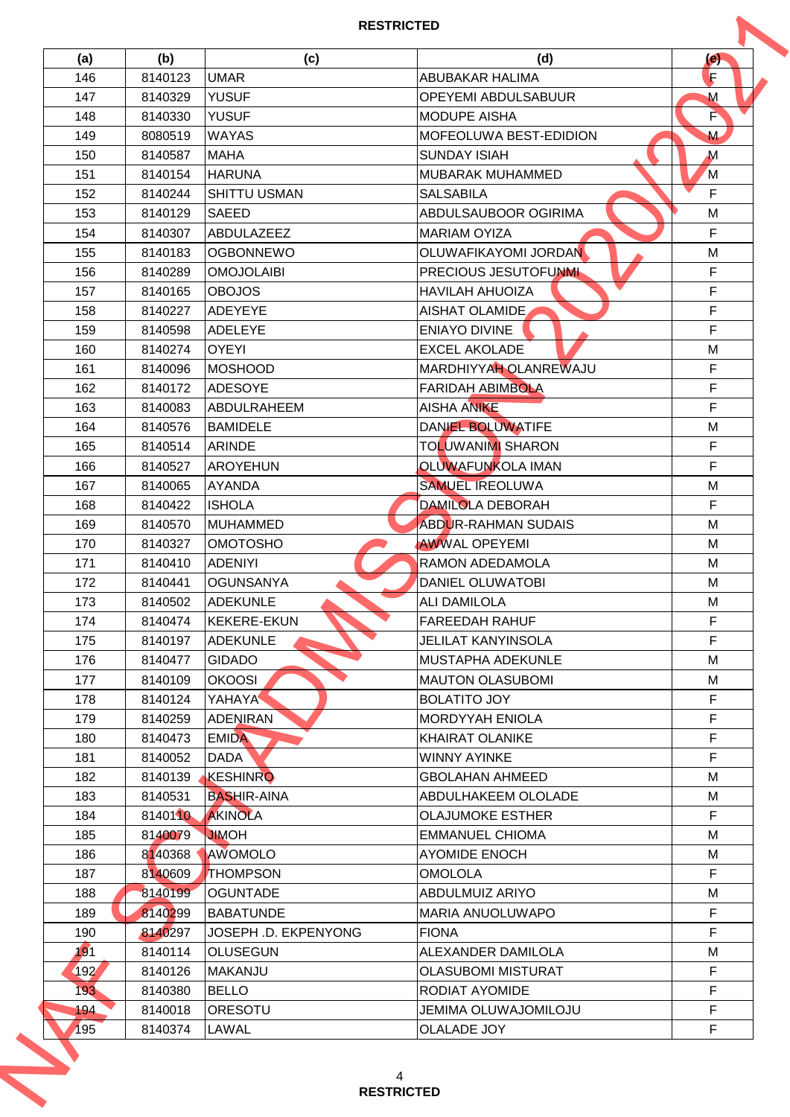| (a) | (b)     | (c)                  | (d)                           | (e)          |
|-----|---------|----------------------|-------------------------------|--------------|
| 146 | 8140123 | <b>UMAR</b>          | <b>ABUBAKAR HALIMA</b>        | F            |
| 147 | 8140329 | <b>YUSUF</b>         | <b>OPEYEMI ABDULSABUUR</b>    | $\mathsf{M}$ |
| 148 | 8140330 | <b>YUSUF</b>         | IMODUPE AISHA                 | È            |
| 149 | 8080519 | <b>WAYAS</b>         | <b>MOFEOLUWA BEST-EDIDION</b> | M            |
| 150 | 8140587 | <b>MAHA</b>          | <b>SUNDAY ISIAH</b>           | $\mathbf M$  |
| 151 | 8140154 | <b>HARUNA</b>        | MUBARAK MUHAMMED              | M            |
| 152 | 8140244 | <b>SHITTU USMAN</b>  | <b>SALSABILA</b>              | F            |
| 153 | 8140129 | <b>SAEED</b>         | <b>ABDULSAUBOOR OGIRIMA</b>   | M            |
| 154 | 8140307 | ABDULAZEEZ           | <b>MARIAM OYIZA</b>           | F            |
| 155 | 8140183 | <b>OGBONNEWO</b>     | OLUWAFIKAYOMI JORDAN          | M            |
| 156 | 8140289 | <b>OMOJOLAIBI</b>    | <b>PRECIOUS JESUTOFUNML</b>   | F            |
| 157 | 8140165 | <b>OBOJOS</b>        | <b>HAVILAH AHUOIZA</b>        | F            |
| 158 | 8140227 | ADEYEYE              | AISHAT OLAMIDE                | F            |
| 159 | 8140598 | <b>ADELEYE</b>       | <b>ENIAYO DIVINE</b>          | F            |
| 160 | 8140274 | <b>OYEYI</b>         | <b>EXCEL AKOLADE</b>          | M            |
| 161 | 8140096 | MOSHOOD              | MARDHIYYAH OLANREWAJU         | F            |
| 162 | 8140172 | <b>ADESOYE</b>       | <b>FARIDAH ABIMBOLA</b>       | F            |
| 163 | 8140083 | <b>ABDULRAHEEM</b>   | <b>AISHA ANIKE</b>            | F            |
| 164 | 8140576 | <b>BAMIDELE</b>      | DANIEL BOLUWATIFE             | M            |
| 165 | 8140514 | <b>ARINDE</b>        | <b>TOLUWANIMI SHARON</b>      | F            |
| 166 | 8140527 | <b>AROYEHUN</b>      | OLUWAFUNKOLA IMAN             | F            |
| 167 | 8140065 | AYANDA               | <b>SAMUEL IREOLUWA</b>        | M            |
|     |         |                      | <b>DAMILOLA DEBORAH</b>       | F            |
| 168 | 8140422 | <b>ISHOLA</b>        |                               |              |
| 169 | 8140570 | <b>MUHAMMED</b>      | <b>ABDUR-RAHMAN SUDAIS</b>    | M            |
| 170 | 8140327 | <b>OMOTOSHO</b>      | <b>AWWAL OPEYEMI</b>          | M            |
| 171 | 8140410 | <b>ADENIYI</b>       | <b>RAMON ADEDAMOLA</b>        | M            |
| 172 | 8140441 | <b>OGUNSANYA</b>     | <b>DANIEL OLUWATOBI</b>       | M            |
| 173 | 8140502 | <b>ADEKUNLE</b>      | <b>ALI DAMILOLA</b>           | M            |
| 174 | 8140474 | <b>KEKERE-EKUN</b>   | <b>IFAREEDAH RAHUF</b>        | F            |
| 175 | 8140197 | <b>ADEKUNLE</b>      | <b>JELILAT KANYINSOLA</b>     | F            |
| 176 | 8140477 | <b>GIDADO</b>        | MUSTAPHA ADEKUNLE             | M            |
| 177 | 8140109 | <b>OKOOSI</b>        | IMAUTON OLASUBOMI             | M            |
| 178 | 8140124 | <b>YAHAYA</b>        | <b>BOLATITO JOY</b>           | F            |
| 179 | 8140259 | <b>ADENIRAN</b>      | <b>MORDYYAH ENIOLA</b>        | F            |
| 180 | 8140473 | <b>EMIDA</b>         | <b>KHAIRAT OLANIKE</b>        | F            |
| 181 | 8140052 | <b>DADA</b>          | <b>WINNY AYINKE</b>           | F            |
| 182 | 8140139 | KESHINRO             | <b>GBOLAHAN AHMEED</b>        | M            |
| 183 | 8140531 | <b>BASHIR-AINA</b>   | ABDULHAKEEM OLOLADE           | M            |
| 184 | 8140110 | <b>AKINOLA</b>       | <b>OLAJUMOKE ESTHER</b>       | F            |
| 185 | 8140079 | <b>HOMIL</b>         | EMMANUEL CHIOMA               | M            |
| 186 | 8140368 | AWOMOLO              | <b>AYOMIDE ENOCH</b>          | M            |
| 187 | 8140609 | <b>THOMPSON</b>      | <b>OMOLOLA</b>                | F            |
| 188 | 8140199 | <b>OGUNTADE</b>      | ABDULMUIZ ARIYO               | M            |
| 189 | 8140299 | <b>BABATUNDE</b>     | MARIA ANUOLUWAPO              | F            |
| 190 | 8140297 | JOSEPH .D. EKPENYONG | <b>FIONA</b>                  | F            |
| 191 | 8140114 | <b>OLUSEGUN</b>      | ALEXANDER DAMILOLA            | M            |
| 192 | 8140126 | <b>MAKANJU</b>       | <b>OLASUBOMI MISTURAT</b>     | F            |
| 193 | 8140380 | <b>BELLO</b>         | <b>RODIAT AYOMIDE</b>         | F            |
| 194 | 8140018 | <b>ORESOTU</b>       | <b>JEMIMA OLUWAJOMILOJU</b>   | F            |
|     |         | LAWAL                | <b>OLALADE JOY</b>            | F            |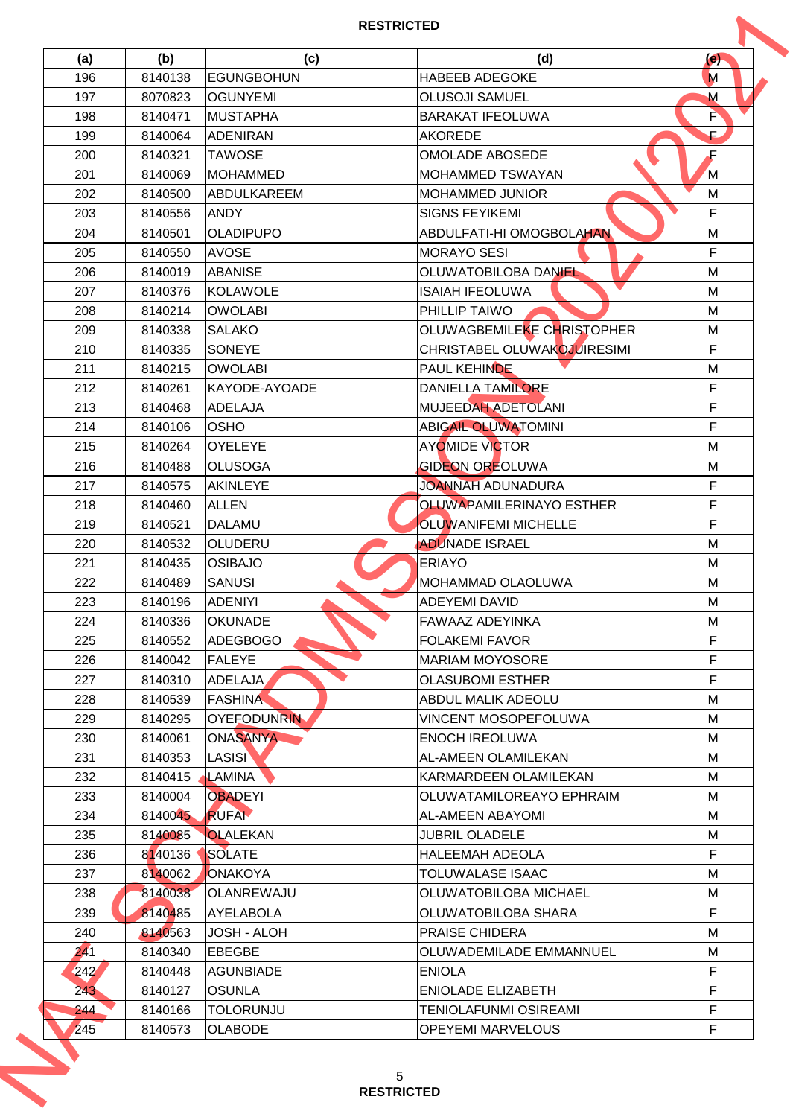| (a)  | (b)                | (c)                              | (d)                                                     | (e)    |
|------|--------------------|----------------------------------|---------------------------------------------------------|--------|
| 196  | 8140138            | EGUNGBOHUN                       | <b>HABEEB ADEGOKE</b>                                   | M      |
| 197  | 8070823            | <b>OGUNYEMI</b>                  | <b>OLUSOJI SAMUEL</b>                                   | M      |
| 198  | 8140471            | <b>MUSTAPHA</b>                  | <b>BARAKAT IFEOLUWA</b>                                 | È      |
| 199  | 8140064            | <b>ADENIRAN</b>                  | <b>AKOREDE</b>                                          | Ē,     |
| 200  | 8140321            | <b>TAWOSE</b>                    | <b>OMOLADE ABOSEDE</b>                                  | F      |
| 201  | 8140069            | <b>MOHAMMED</b>                  | IMOHAMMED TSWAYAN                                       | M      |
| 202  | 8140500            | <b>ABDULKAREEM</b>               | <b>MOHAMMED JUNIOR</b>                                  | M      |
| 203  | 8140556            | <b>ANDY</b>                      | <b>SIGNS FEYIKEMI</b>                                   | F      |
| 204  | 8140501            | <b>OLADIPUPO</b>                 | ABDULFATI-HI OMOGBOLAHAN                                | M      |
| 205  | 8140550            | <b>AVOSE</b>                     | <b>MORAYO SESI</b>                                      | F      |
| 206  | 8140019            | <b>ABANISE</b>                   | <b>OLUWATOBILOBA DANIEL</b>                             | M      |
| 207  | 8140376            | <b>KOLAWOLE</b>                  | <b>ISAIAH IFEOLUWA</b>                                  | M      |
| 208  | 8140214            | <b>OWOLABI</b>                   | <b>PHILLIP TAIWO</b>                                    | M      |
| 209  | 8140338            | <b>SALAKO</b>                    | OLUWAGBEMILEKE CHRISTOPHER                              | M      |
| 210  | 8140335            | <b>SONEYE</b>                    | CHRISTABEL OLUWAKOJUIRESIMI                             | F      |
| 211  | 8140215            | <b>OWOLABI</b>                   | PAUL KEHINDE                                            | M      |
| 212  | 8140261            | KAYODE-AYOADE                    | <b>DANIELLA TAMILORE</b>                                | F      |
| 213  | 8140468            | <b>ADELAJA</b>                   | MUJEEDAH ADETOLANI                                      | F      |
| 214  | 8140106            | <b>OSHO</b>                      | <b>ABIGAIL OLUWATOMINI</b>                              | F      |
| 215  | 8140264            | <b>OYELEYE</b>                   | <b>AYOMIDE VICTOR</b>                                   | M      |
| 216  | 8140488            | <b>OLUSOGA</b>                   | <b>GIDEON OREOLUWA</b>                                  | M      |
| 217  | 8140575            | AKINLEYE                         | <b>JOANNAH ADUNADURA</b>                                | F      |
|      |                    |                                  |                                                         | F      |
| 218  | 8140460            | <b>ALLEN</b><br><b>DALAMU</b>    | OLUWAPAMILERINAYO ESTHER<br><b>OLUWANIFEMI MICHELLE</b> | F      |
| 219  | 8140521            |                                  | <b>ADUNADE ISRAEL</b>                                   | M      |
| 220  | 8140532<br>8140435 | <b>OLUDERU</b><br><b>OSIBAJO</b> | <b>ERIAYO</b>                                           | M      |
| 221  |                    |                                  |                                                         |        |
| 222  | 8140489<br>8140196 | <b>SANUSI</b><br><b>ADENIYI</b>  | MOHAMMAD OLAOLUWA                                       | M<br>M |
| 223  |                    |                                  | <b>ADEYEMI DAVID</b>                                    |        |
| 224  | 8140336            | <b>OKUNADE</b>                   | FAWAAZ ADEYINKA<br><b>FOLAKEMI FAVOR</b>                | м<br>F |
| 225  | 8140552            | <b>ADEGBOGO</b>                  |                                                         |        |
| 226  | 8140042            | FALEYE                           | IMARIAM MOYOSORE                                        | F      |
| 227  | 8140310            | ADELAJA                          | <b>OLASUBOMI ESTHER</b><br><b>ABDUL MALIK ADEOLU</b>    | F<br>M |
| 228  | 8140539            | <b>FASHINA</b>                   |                                                         |        |
| 229  | 8140295            | <b>OYEFODUNRIN</b>               | VINCENT MOSOPEFOLUWA                                    | M      |
| 230  | 8140061            | <b>ONASANYA</b>                  | <b>ENOCH IREOLUWA</b>                                   | M      |
| 231  | 8140353            | <b>LASISI</b>                    | AL-AMEEN OLAMILEKAN                                     | M      |
| 232  | 8140415            | LAMINA                           | KARMARDEEN OLAMILEKAN                                   | M      |
| 233  | 8140004            | <b>OBADEYI</b>                   | OLUWATAMILOREAYO EPHRAIM                                | M      |
| 234  | 8140045            | <b>RUFAM</b>                     | IAL-AMEEN ABAYOMI                                       | M      |
| 235  | 8140085            | <b>OLALEKAN</b>                  | <b>JUBRIL OLADELE</b>                                   | м      |
| 236  | 8140136            | <b>SOLATE</b>                    | <b>HALEEMAH ADEOLA</b>                                  | F      |
| 237  | 8140062            | <b>ONAKOYA</b>                   | TOLUWALASE ISAAC                                        | M      |
| 238  | 8140038            | OLANREWAJU                       | OLUWATOBILOBA MICHAEL                                   | M      |
| 239  | 8140485            | <b>AYELABOLA</b>                 | OLUWATOBILOBA SHARA                                     | F.     |
| 240  | 8140563            | <b>JOSH - ALOH</b>               | IPRAISE CHIDERA                                         | M      |
| 241  | 8140340            | <b>EBEGBE</b>                    | OLUWADEMILADE EMMANNUEL                                 | M      |
| 242' | 8140448            | <b>AGUNBIADE</b>                 | <b>ENIOLA</b>                                           | F      |
| 243  | 8140127            | <b>OSUNLA</b>                    | <b>ENIOLADE ELIZABETH</b>                               | F      |
| 244  | 8140166            | <b>TOLORUNJU</b>                 | TENIOLAFUNMI OSIREAMI                                   | F.     |
| 245  | 8140573            | <b>OLABODE</b>                   | <b>OPEYEMI MARVELOUS</b>                                | F      |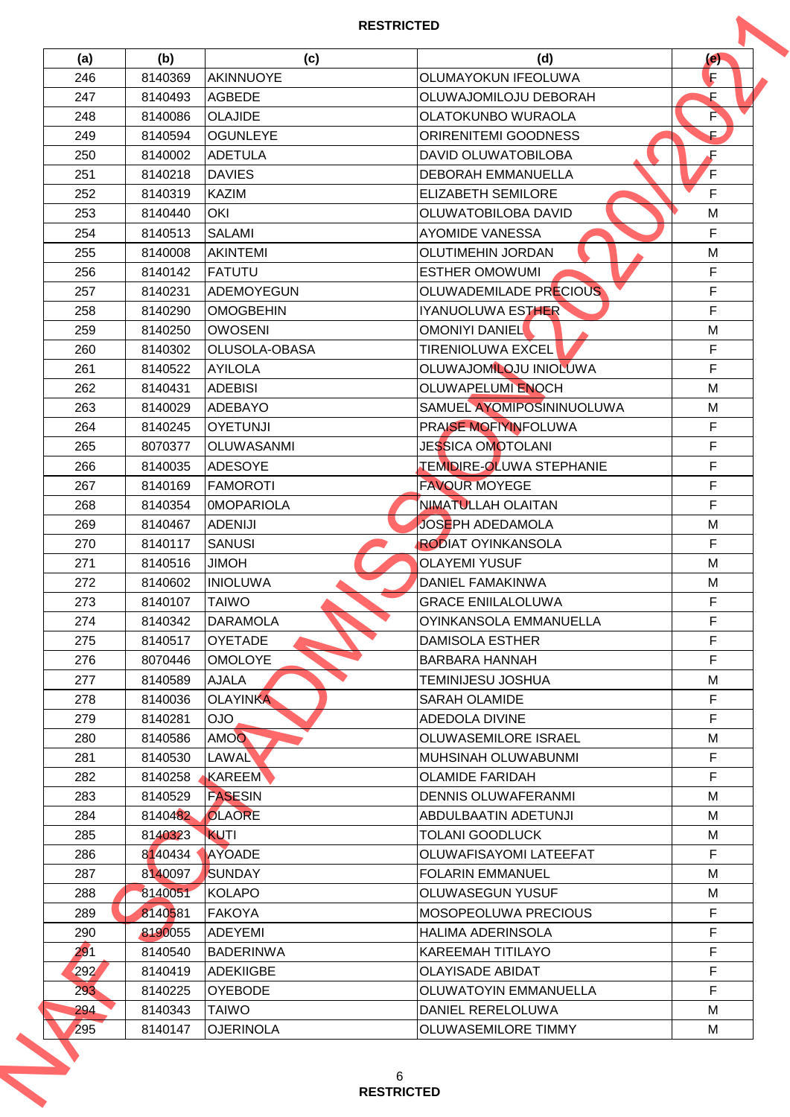| (a) | (b)     | (c)               | (d)                             | (e) |
|-----|---------|-------------------|---------------------------------|-----|
| 246 | 8140369 | <b>AKINNUOYE</b>  | <b>OLUMAYOKUN IFEOLUWA</b>      | F   |
| 247 | 8140493 | <b>AGBEDE</b>     | OLUWAJOMILOJU DEBORAH           | F   |
| 248 | 8140086 | <b>OLAJIDE</b>    | OLATOKUNBO WURAOLA              | È   |
| 249 | 8140594 | <b>OGUNLEYE</b>   | <b>ORIRENITEMI GOODNESS</b>     | Ē,  |
| 250 | 8140002 | <b>ADETULA</b>    | DAVID OLUWATOBILOBA             | F   |
| 251 | 8140218 | DAVIES            | <b>DEBORAH EMMANUELLA</b>       | F   |
| 252 | 8140319 | <b>KAZIM</b>      | <b>ELIZABETH SEMILORE</b>       | F   |
| 253 | 8140440 | <b>OKI</b>        | OLUWATOBILOBA DAVID             | M   |
| 254 | 8140513 | <b>SALAMI</b>     | <b>AYOMIDE VANESSA</b>          | F   |
| 255 | 8140008 | <b>AKINTEMI</b>   | <b>OLUTIMEHIN JORDAN</b>        | M   |
| 256 | 8140142 | FATUTU            | <b>ESTHER OMOWUMI</b>           | F   |
| 257 | 8140231 | ADEMOYEGUN        | OLUWADEMILADE PRECIOUS          | F   |
| 258 | 8140290 | <b>OMOGBEHIN</b>  | IYANUOLUWA ESTHER               | F   |
| 259 | 8140250 | <b>OWOSENI</b>    | <b>OMONIYI DANIEL</b>           | M   |
| 260 | 8140302 | OLUSOLA-OBASA     | <b>TIRENIOLUWA EXCEL</b>        | F   |
| 261 | 8140522 | <b>AYILOLA</b>    | OLUWAJOMILOJU INIOLUWA          | F   |
| 262 | 8140431 | <b>ADEBISI</b>    | <b>OLUWAPELUMI ENOCH</b>        | M   |
| 263 | 8140029 | <b>ADEBAYO</b>    | SAMUEL AYOMIPOSININUOLUWA       | M   |
| 264 | 8140245 | <b>OYETUNJI</b>   | PRAISE MOFIYINFOLUWA            | F   |
| 265 | 8070377 | <b>OLUWASANMI</b> | <b>JESSICA OMOTOLANI</b>        | F   |
|     |         |                   |                                 | F   |
| 266 | 8140035 | <b>ADESOYE</b>    | <b>TEMIDIRE-OLUWA STEPHANIE</b> |     |
| 267 | 8140169 | FAMOROTI          | <b>FAVOUR MOYEGE</b>            | F   |
| 268 | 8140354 | <b>OMOPARIOLA</b> | NIMATULLAH OLAITAN              | F   |
| 269 | 8140467 | <b>ADENIJI</b>    | <b>JOSEPH ADEDAMOLA</b>         | M   |
| 270 | 8140117 | <b>SANUSI</b>     | <b>RODIAT OYINKANSOLA</b>       | F   |
| 271 | 8140516 | <b>HOMIL</b>      | <b>OLAYEMI YUSUF</b>            | M   |
| 272 | 8140602 | <b>INIOLUWA</b>   | <b>DANIEL FAMAKINWA</b>         | M   |
| 273 | 8140107 | <b>TAIWO</b>      | <b>GRACE ENIILALOLUWA</b>       | F   |
| 274 | 8140342 | <b>DARAMOLA</b>   | OYINKANSOLA EMMANUELLA          | F   |
| 275 | 8140517 | <b>OYETADE</b>    | IDAMISOLA ESTHER                | F   |
| 276 | 8070446 | <b>OMOLOYE</b>    | BARBARA HANNAH                  | F   |
| 277 | 8140589 | <b>AJALA</b>      | TEMINIJESU JOSHUA               | M   |
| 278 | 8140036 | <b>OLAYINKA</b>   | <b>SARAH OLAMIDE</b>            | F   |
| 279 | 8140281 | <b>OJO</b>        | ADEDOLA DIVINE                  | F   |
| 280 | 8140586 | <b>AMOO</b>       | OLUWASEMILORE ISRAEL            | M   |
| 281 | 8140530 | <b>LAWAL</b>      | MUHSINAH OLUWABUNMI             | F   |
| 282 | 8140258 | KAREEM            | <b>OLAMIDE FARIDAH</b>          | F   |
| 283 | 8140529 | <b>FASESIN</b>    | <b>DENNIS OLUWAFERANMI</b>      | M   |
| 284 | 8140482 | <b>OLAORE</b>     | ABDULBAATIN ADETUNJI            | M   |
| 285 | 8140323 | KUTI              | TOLANI GOODLUCK                 | м   |
| 286 | 8140434 | <b>AYOADE</b>     | OLUWAFISAYOMI LATEEFAT          | F   |
| 287 | 8140097 | <b>SUNDAY</b>     | <b>FOLARIN EMMANUEL</b>         | M   |
| 288 | 8140051 | <b>KOLAPO</b>     | <b>OLUWASEGUN YUSUF</b>         | M   |
| 289 | 8140581 | <b>FAKOYA</b>     | <b>MOSOPEOLUWA PRECIOUS</b>     | F   |
| 290 | 8190055 | <b>ADEYEMI</b>    | <b>HALIMA ADERINSOLA</b>        | F   |
| 291 | 8140540 | <b>BADERINWA</b>  | KAREEMAH TITILAYO               | F   |
| 292 | 8140419 | ADEKIIGBE         | <b>OLAYISADE ABIDAT</b>         | F   |
| 293 | 8140225 | <b>OYEBODE</b>    | OLUWATOYIN EMMANUELLA           | F   |
| 294 | 8140343 | <b>TAIWO</b>      | DANIEL RERELOLUWA               | м   |
| 295 | 8140147 | <b>OJERINOLA</b>  | OLUWASEMILORE TIMMY             | M   |
|     |         |                   |                                 |     |